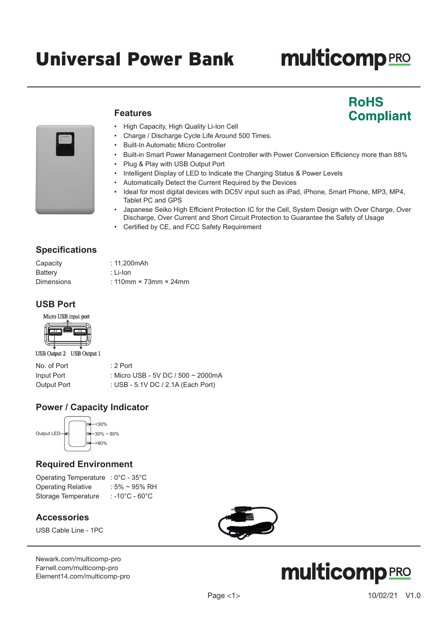# Universal Power Bank

# **multicomp**PRO

**RoHS** 

**Compliant** 



# **Features**

- High Capacity, High Quality Li-Ion Cell
- Charge / Discharge Cycle Life Around 500 Times.
- Built-In Automatic Micro Controller
- Built-in Smart Power Management Controller with Power Conversion Efficiency more than 88%
- Plug & Play with USB Output Port
- Intelligent Display of LED to Indicate the Charging Status & Power Levels
- Automatically Detect the Current Required by the Devices
- Ideal for most digital devices with DC5V input such as iPad, iPhone, Smart Phone, MP3, MP4, Tablet PC and GPS
- Japanese Seiko High Efficient Protection IC for the Cell, System Design with Over Charge, Over Discharge, Over Current and Short Circuit Protection to Guarantee the Safety of Usage
- Certified by CE, and FCC Safety Requirement

# **Specifications**

| Capacity          | : 11.200mAh                         |
|-------------------|-------------------------------------|
| Battery           | :Li-Ion                             |
| <b>Dimensions</b> | : 110mm $\times$ 73mm $\times$ 24mm |

# **USB Port**





USB Output 2 USB Output 1

| No. of Port | $: 2$ Port                         |
|-------------|------------------------------------|
| Input Port  | : Micro USB - 5V DC / 500 ~ 2000mA |
| Output Port | : USB - 5.1V DC / 2.1A (Each Port) |

# **Power / Capacity Indicator**



# **Required Environment**

Operating Temperature : 0°C - 35°C Operating Relative : 5% ~ 95% RH Storage Temperature : -10°C - 60°C

### **Accessories**

USB Cable Line - 1PC

[Newark.com/multicomp-](https://www.newark.com/multicomp-pro)pro [Farnell.com/multicomp](https://www.farnell.com/multicomp-pro)-pro [Element14.com/multicomp-pro](https://element14.com/multicomp-pro)



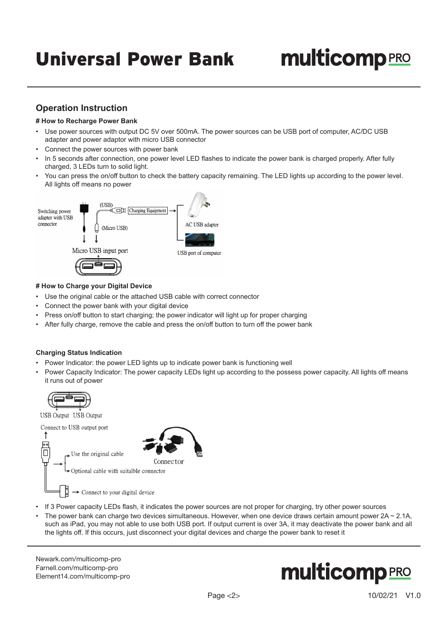# **multicomp** PRO

# **Operation Instruction**

#### **# How to Recharge Power Bank**

- Use power sources with output DC 5V over 500mA. The power sources can be USB port of computer, AC/DC USB adapter and power adaptor with micro USB connector
- Connect the power sources with power bank
- In 5 seconds after connection, one power level LED flashes to indicate the power bank is charged properly. After fully charged, 3 LEDs turn to solid light.
- You can press the on/off button to check the battery capacity remaining. The LED lights up according to the power level. All lights off means no power



#### **# How to Charge your Digital Device**

- Use the original cable or the attached USB cable with correct connector
- Connect the power bank with your digital device
- Press on/off button to start charging; the power indicator will light up for proper charging
- After fully charge, remove the cable and press the on/off button to turn off the power bank

#### **Charging Status Indication**

- Power Indicator: the power LED lights up to indicate power bank is functioning well
- Power Capacity Indicator: The power capacity LEDs light up according to the possess power capacity. All lights off means it runs out of power



USB Output USB Output



- If 3 Power capacity LEDs flash, it indicates the power sources are not proper for charging, try other power sources
- The power bank can charge two devices simultaneous. However, when one device draws certain amount power  $2A \sim 2.1A$ , such as iPad, you may not able to use both USB port. If output current is over 3A, it may deactivate the power bank and all the lights off. If this occurs, just disconnect your digital devices and charge the power bank to reset it

[Newark.com/multicomp-](https://www.newark.com/multicomp-pro)pro [Farnell.com/multicomp](https://www.farnell.com/multicomp-pro)-pro [Element14.com/multicomp-pro](https://element14.com/multicomp-pro)